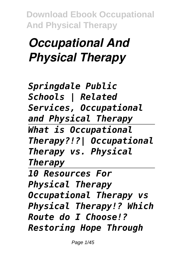## *Occupational And Physical Therapy*

*Springdale Public Schools | Related Services, Occupational and Physical Therapy What is Occupational Therapy?!?| Occupational Therapy vs. Physical Therapy 10 Resources For Physical Therapy Occupational Therapy vs Physical Therapy!? Which Route do I Choose!? Restoring Hope Through*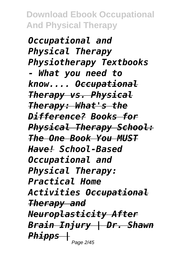*Occupational and Physical Therapy Physiotherapy Textbooks - What you need to know.... Occupational Therapy vs. Physical Therapy: What's the Difference? Books for Physical Therapy School: The One Book You MUST Have! School-Based Occupational and Physical Therapy: Practical Home Activities Occupational Therapy and Neuroplasticity After Brain Injury | Dr. Shawn Phipps |* Page 2/45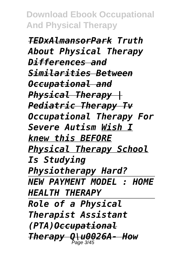*TEDxAlmansorPark Truth About Physical Therapy Differences and Similarities Between Occupational and Physical Therapy | Pediatric Therapy Tv Occupational Therapy For Severe Autism Wish I knew this BEFORE Physical Therapy School Is Studying Physiotherapy Hard? NEW PAYMENT MODEL : HOME HEALTH THERAPY Role of a Physical Therapist Assistant (PTA)Occupational Therapy Q\u0026A- How* Page 3/45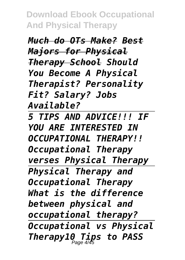*Much do OTs Make? Best Majors for Physical Therapy School Should You Become A Physical Therapist? Personality Fit? Salary? Jobs Available? 5 TIPS AND ADVICE!!! IF YOU ARE INTERESTED IN OCCUPATIONAL THERAPY!! Occupational Therapy verses Physical Therapy Physical Therapy and Occupational Therapy What is the difference between physical and occupational therapy? Occupational vs Physical Therapy10 Tips to PASS* Page 4/45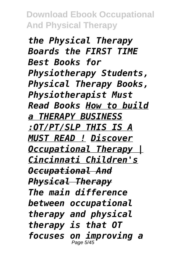*the Physical Therapy Boards the FIRST TIME Best Books for Physiotherapy Students, Physical Therapy Books, Physiotherapist Must Read Books How to build a THERAPY BUSINESS :OT/PT/SLP THIS IS A MUST READ ! Discover Occupational Therapy | Cincinnati Children's Occupational And Physical Therapy The main difference between occupational therapy and physical therapy is that OT focuses on improving a* Page 5/45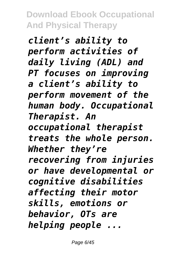*client's ability to perform activities of daily living (ADL) and PT focuses on improving a client's ability to perform movement of the human body. Occupational Therapist. An occupational therapist treats the whole person. Whether they're recovering from injuries or have developmental or cognitive disabilities affecting their motor skills, emotions or behavior, OTs are helping people ...*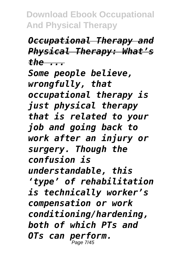*Occupational Therapy and Physical Therapy: What's the ...*

*Some people believe, wrongfully, that occupational therapy is just physical therapy that is related to your job and going back to work after an injury or surgery. Though the confusion is understandable, this 'type' of rehabilitation is technically worker's compensation or work conditioning/hardening, both of which PTs and OTs can perform.* Page 7/45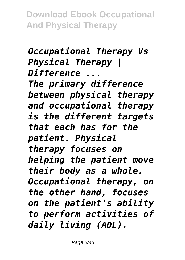*Occupational Therapy Vs Physical Therapy | Difference ... The primary difference between physical therapy and occupational therapy is the different targets that each has for the patient. Physical therapy focuses on helping the patient move their body as a whole. Occupational therapy, on the other hand, focuses on the patient's ability to perform activities of daily living (ADL).*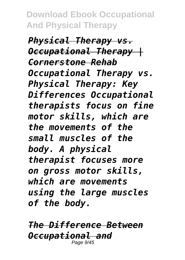*Physical Therapy vs. Occupational Therapy | Cornerstone Rehab Occupational Therapy vs. Physical Therapy: Key Differences Occupational therapists focus on fine motor skills, which are the movements of the small muscles of the body. A physical therapist focuses more on gross motor skills, which are movements using the large muscles of the body.*

*The Difference Between Occupational and* Page 9/45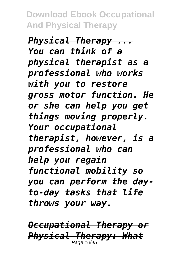*Physical Therapy ... You can think of a physical therapist as a professional who works with you to restore gross motor function. He or she can help you get things moving properly. Your occupational therapist, however, is a professional who can help you regain functional mobility so you can perform the dayto-day tasks that life throws your way.*

*Occupational Therapy or Physical Therapy: What* Page 10/45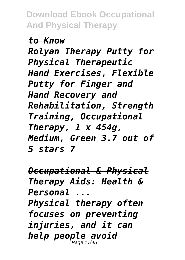*to Know*

*Rolyan Therapy Putty for Physical Therapeutic Hand Exercises, Flexible Putty for Finger and Hand Recovery and Rehabilitation, Strength Training, Occupational Therapy, 1 x 454g, Medium, Green 3.7 out of 5 stars 7*

*Occupational & Physical Therapy Aids: Health & Personal ... Physical therapy often focuses on preventing injuries, and it can help people avoid* Page 11/45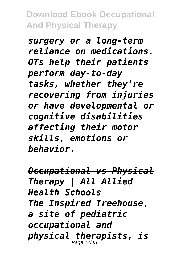*surgery or a long-term reliance on medications. OTs help their patients perform day-to-day tasks, whether they're recovering from injuries or have developmental or cognitive disabilities affecting their motor skills, emotions or behavior.*

*Occupational vs Physical Therapy | All Allied Health Schools The Inspired Treehouse, a site of pediatric occupational and physical therapists, is* Page 12/45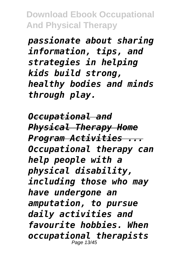*passionate about sharing information, tips, and strategies in helping kids build strong, healthy bodies and minds through play.*

*Occupational and Physical Therapy Home Program Activities ... Occupational therapy can help people with a physical disability, including those who may have undergone an amputation, to pursue daily activities and favourite hobbies. When occupational therapists* Page 13/45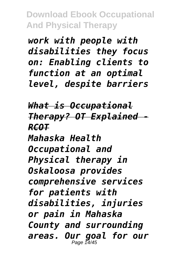*work with people with disabilities they focus on: Enabling clients to function at an optimal level, despite barriers*

*What is Occupational Therapy? OT Explained - RCOT Mahaska Health Occupational and Physical therapy in Oskaloosa provides comprehensive services for patients with disabilities, injuries or pain in Mahaska County and surrounding areas. Our goal for our* Page 14/45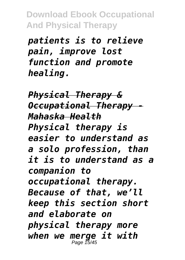*patients is to relieve pain, improve lost function and promote healing.*

*Physical Therapy & Occupational Therapy - Mahaska Health Physical therapy is easier to understand as a solo profession, than it is to understand as a companion to occupational therapy. Because of that, we'll keep this section short and elaborate on physical therapy more when we merge it with* Page 15/45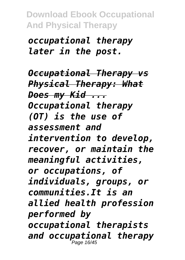*occupational therapy later in the post.*

*Occupational Therapy vs Physical Therapy: What Does my Kid ... Occupational therapy (OT) is the use of assessment and intervention to develop, recover, or maintain the meaningful activities, or occupations, of individuals, groups, or communities.It is an allied health profession performed by occupational therapists and occupational therapy* Page 16/45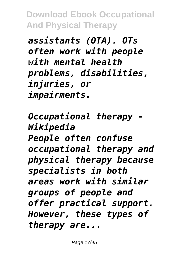*assistants (OTA). OTs often work with people with mental health problems, disabilities, injuries, or impairments.*

*Occupational therapy - Wikipedia People often confuse occupational therapy and physical therapy because specialists in both areas work with similar groups of people and offer practical support. However, these types of therapy are...*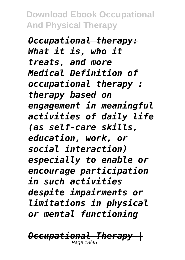*Occupational therapy: What it is, who it treats, and more Medical Definition of occupational therapy : therapy based on engagement in meaningful activities of daily life (as self-care skills, education, work, or social interaction) especially to enable or encourage participation in such activities despite impairments or limitations in physical or mental functioning*

*Occupational Therapy |* Page 18/45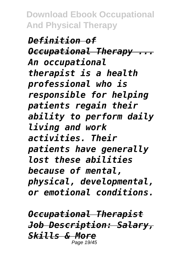*Definition of Occupational Therapy ... An occupational therapist is a health professional who is responsible for helping patients regain their ability to perform daily living and work activities. Their patients have generally lost these abilities because of mental, physical, developmental, or emotional conditions.*

*Occupational Therapist Job Description: Salary, Skills & More* Page 19/45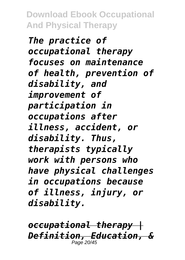*The practice of occupational therapy focuses on maintenance of health, prevention of disability, and improvement of participation in occupations after illness, accident, or disability. Thus, therapists typically work with persons who have physical challenges in occupations because of illness, injury, or disability.*

*occupational therapy | Definition, Education, &* Page 20/45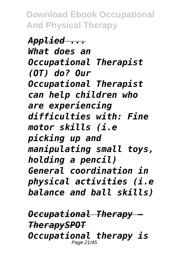*Applied ... What does an Occupational Therapist (OT) do? Our Occupational Therapist can help children who are experiencing difficulties with: Fine motor skills (i.e picking up and manipulating small toys, holding a pencil) General coordination in physical activities (i.e balance and ball skills)*

*Occupational Therapy — TherapySPOT Occupational therapy is* Page 21/45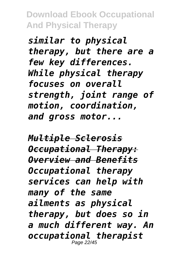*similar to physical therapy, but there are a few key differences. While physical therapy focuses on overall strength, joint range of motion, coordination, and gross motor...*

*Multiple Sclerosis Occupational Therapy: Overview and Benefits Occupational therapy services can help with many of the same ailments as physical therapy, but does so in a much different way. An occupational therapist* Page 22/45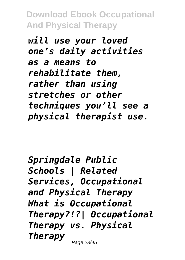*will use your loved one's daily activities as a means to rehabilitate them, rather than using stretches or other techniques you'll see a physical therapist use.*

*Springdale Public Schools | Related Services, Occupational and Physical Therapy What is Occupational Therapy?!?| Occupational Therapy vs. Physical Therapy* Page 23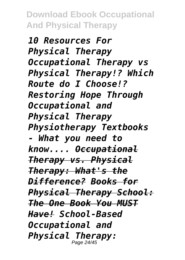*10 Resources For Physical Therapy Occupational Therapy vs Physical Therapy!? Which Route do I Choose!? Restoring Hope Through Occupational and Physical Therapy Physiotherapy Textbooks - What you need to know.... Occupational Therapy vs. Physical Therapy: What's the Difference? Books for Physical Therapy School: The One Book You MUST Have! School-Based Occupational and Physical Therapy:* Page 24/45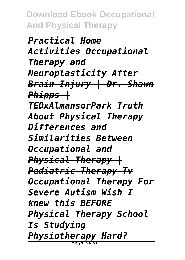*Practical Home Activities Occupational Therapy and Neuroplasticity After Brain Injury | Dr. Shawn Phipps | TEDxAlmansorPark Truth About Physical Therapy Differences and Similarities Between Occupational and Physical Therapy | Pediatric Therapy Tv Occupational Therapy For Severe Autism Wish I knew this BEFORE Physical Therapy School Is Studying Physiotherapy Hard?* Page 25/45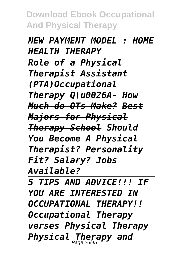*NEW PAYMENT MODEL : HOME HEALTH THERAPY Role of a Physical Therapist Assistant (PTA)Occupational Therapy Q\u0026A- How Much do OTs Make? Best Majors for Physical Therapy School Should You Become A Physical Therapist? Personality Fit? Salary? Jobs Available?*

*5 TIPS AND ADVICE!!! IF YOU ARE INTERESTED IN OCCUPATIONAL THERAPY!! Occupational Therapy verses Physical Therapy Physical Therapy and* Page 26/45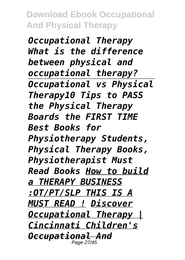*Occupational Therapy What is the difference between physical and occupational therapy? Occupational vs Physical Therapy10 Tips to PASS the Physical Therapy Boards the FIRST TIME Best Books for Physiotherapy Students, Physical Therapy Books, Physiotherapist Must Read Books How to build a THERAPY BUSINESS :OT/PT/SLP THIS IS A MUST READ ! Discover Occupational Therapy | Cincinnati Children's Occupational And* Page 27/45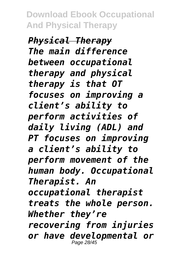*Physical Therapy The main difference between occupational therapy and physical therapy is that OT focuses on improving a client's ability to perform activities of daily living (ADL) and PT focuses on improving a client's ability to perform movement of the human body. Occupational Therapist. An occupational therapist treats the whole person. Whether they're recovering from injuries or have developmental or* Page 28/45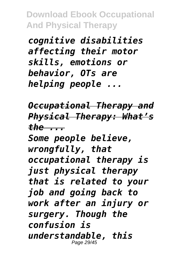*cognitive disabilities affecting their motor skills, emotions or behavior, OTs are helping people ...*

*Occupational Therapy and Physical Therapy: What's the ...*

*Some people believe, wrongfully, that occupational therapy is just physical therapy that is related to your job and going back to work after an injury or surgery. Though the confusion is understandable, this* Page 29/45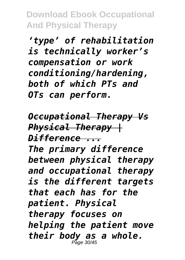*'type' of rehabilitation is technically worker's compensation or work conditioning/hardening, both of which PTs and OTs can perform.*

*Occupational Therapy Vs Physical Therapy | Difference ... The primary difference between physical therapy and occupational therapy is the different targets that each has for the patient. Physical therapy focuses on helping the patient move their body as a whole.* Page 30/45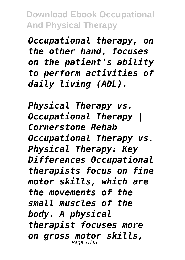*Occupational therapy, on the other hand, focuses on the patient's ability to perform activities of daily living (ADL).*

*Physical Therapy vs. Occupational Therapy | Cornerstone Rehab Occupational Therapy vs. Physical Therapy: Key Differences Occupational therapists focus on fine motor skills, which are the movements of the small muscles of the body. A physical therapist focuses more on gross motor skills,* Page 31/45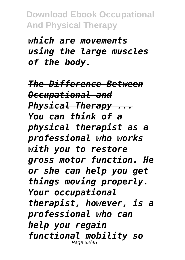*which are movements using the large muscles of the body.*

*The Difference Between Occupational and Physical Therapy ... You can think of a physical therapist as a professional who works with you to restore gross motor function. He or she can help you get things moving properly. Your occupational therapist, however, is a professional who can help you regain functional mobility so* Page 32/45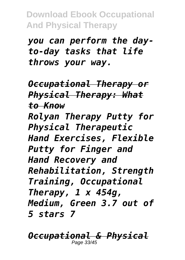*you can perform the dayto-day tasks that life throws your way.*

*Occupational Therapy or Physical Therapy: What to Know Rolyan Therapy Putty for Physical Therapeutic Hand Exercises, Flexible Putty for Finger and Hand Recovery and Rehabilitation, Strength Training, Occupational Therapy, 1 x 454g, Medium, Green 3.7 out of 5 stars 7*

*Occupational & Physical* Page 33/45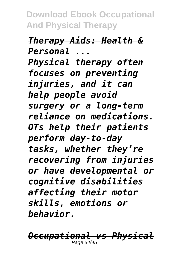*Therapy Aids: Health & Personal ... Physical therapy often focuses on preventing injuries, and it can help people avoid surgery or a long-term reliance on medications. OTs help their patients perform day-to-day tasks, whether they're recovering from injuries or have developmental or cognitive disabilities affecting their motor skills, emotions or behavior.*

*Occupational vs Physical* Page 34/45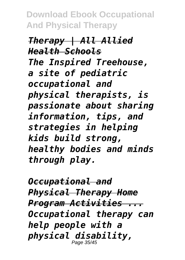*Therapy | All Allied Health Schools The Inspired Treehouse, a site of pediatric occupational and physical therapists, is passionate about sharing information, tips, and strategies in helping kids build strong, healthy bodies and minds through play.*

*Occupational and Physical Therapy Home Program Activities ... Occupational therapy can help people with a physical disability,* Page 35/45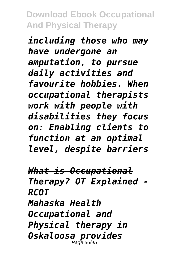*including those who may have undergone an amputation, to pursue daily activities and favourite hobbies. When occupational therapists work with people with disabilities they focus on: Enabling clients to function at an optimal level, despite barriers*

*What is Occupational Therapy? OT Explained - RCOT Mahaska Health Occupational and Physical therapy in Oskaloosa provides* Page 36/45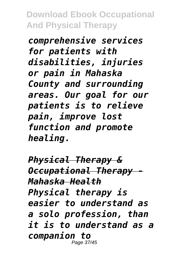*comprehensive services for patients with disabilities, injuries or pain in Mahaska County and surrounding areas. Our goal for our patients is to relieve pain, improve lost function and promote healing.*

*Physical Therapy & Occupational Therapy - Mahaska Health Physical therapy is easier to understand as a solo profession, than it is to understand as a companion to* Page 37/45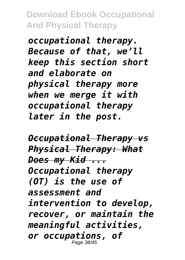*occupational therapy. Because of that, we'll keep this section short and elaborate on physical therapy more when we merge it with occupational therapy later in the post.*

*Occupational Therapy vs Physical Therapy: What Does my Kid ... Occupational therapy (OT) is the use of assessment and intervention to develop, recover, or maintain the meaningful activities, or occupations, of* Page 38/45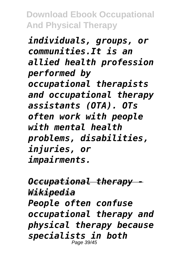*individuals, groups, or communities.It is an allied health profession performed by occupational therapists and occupational therapy assistants (OTA). OTs often work with people with mental health problems, disabilities, injuries, or impairments.*

*Occupational therapy - Wikipedia People often confuse occupational therapy and physical therapy because specialists in both* Page 39/45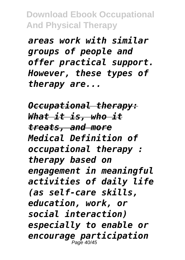*areas work with similar groups of people and offer practical support. However, these types of therapy are...*

*Occupational therapy: What it is, who it treats, and more Medical Definition of occupational therapy : therapy based on engagement in meaningful activities of daily life (as self-care skills, education, work, or social interaction) especially to enable or encourage participation* Page 40/45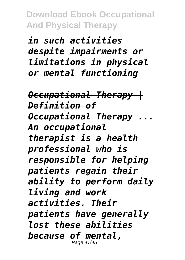*in such activities despite impairments or limitations in physical or mental functioning*

*Occupational Therapy | Definition of Occupational Therapy ... An occupational therapist is a health professional who is responsible for helping patients regain their ability to perform daily living and work activities. Their patients have generally lost these abilities because of mental,* Page 41/45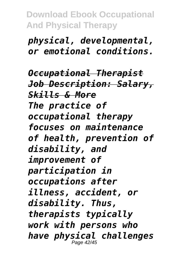*physical, developmental, or emotional conditions.*

*Occupational Therapist Job Description: Salary, Skills & More The practice of occupational therapy focuses on maintenance of health, prevention of disability, and improvement of participation in occupations after illness, accident, or disability. Thus, therapists typically work with persons who have physical challenges* Page 42/45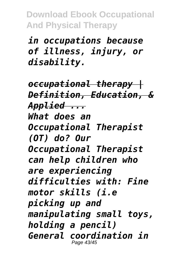*in occupations because of illness, injury, or disability.*

*occupational therapy | Definition, Education, & Applied ... What does an Occupational Therapist (OT) do? Our Occupational Therapist can help children who are experiencing difficulties with: Fine motor skills (i.e picking up and manipulating small toys, holding a pencil) General coordination in* Page 43/45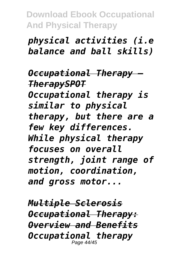## *physical activities (i.e balance and ball skills)*

*Occupational Therapy — TherapySPOT Occupational therapy is similar to physical therapy, but there are a few key differences. While physical therapy focuses on overall strength, joint range of motion, coordination, and gross motor...*

*Multiple Sclerosis Occupational Therapy: Overview and Benefits Occupational therapy* Page 44/45